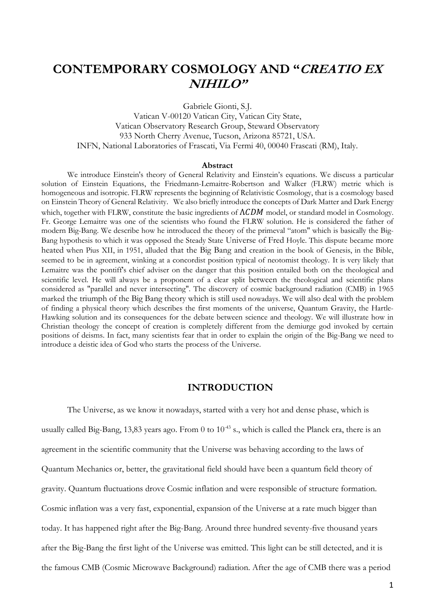# **CONTEMPORARY COSMOLOGY AND "CREATIO EX NIHILO"**

Gabriele Gionti, S.J.

Vatican V-00120 Vatican City, Vatican City State, Vatican Observatory Research Group, Steward Observatory 933 North Cherry Avenue, Tucson, Arizona 85721, USA. INFN, National Laboratories of Frascati, Via Fermi 40, 00040 Frascati (RM), Italy.

#### **Abstract**

We introduce Einstein's theory of General Relativity and Einstein's equations. We discuss a particular solution of Einstein Equations, the Friedmann-Lemaitre-Robertson and Walker (FLRW) metric which is homogeneous and isotropic. FLRW represents the beginning of Relativistic Cosmology, that is a cosmology based on Einstein Theory of General Relativity. We also briefly introduce the concepts of Dark Matter and Dark Energy which, together with FLRW, constitute the basic ingredients of  $\Lambda CDM$  model, or standard model in Cosmology. Fr. George Lemaitre was one of the scientists who found the FLRW solution. He is considered the father of modern Big-Bang. We describe how he introduced the theory of the primeval "atom" which is basically the Big-Bang hypothesis to which it was opposed the Steady State Universe of Fred Hoyle. This dispute became more heated when Pius XII, in 1951, alluded that the Big Bang and creation in the book of Genesis, in the Bible, seemed to be in agreement, winking at a concordist position typical of neotomist theology. It is very likely that Lemaitre was the pontiff's chief adviser on the danger that this position entailed both on the theological and scientific level. He will always be a proponent of a clear split between the theological and scientific plans considered as "parallel and never intersecting". The discovery of cosmic background radiation (CMB) in 1965 marked the triumph of the Big Bang theory which is still used nowadays. We will also deal with the problem of finding a physical theory which describes the first moments of the universe, Quantum Gravity, the Hartle-Hawking solution and its consequences for the debate between science and theology. We will illustrate how in Christian theology the concept of creation is completely different from the demiurge god invoked by certain positions of deisms. In fact, many scientists fear that in order to explain the origin of the Big-Bang we need to introduce a deistic idea of God who starts the process of the Universe.

#### **INTRODUCTION**

The Universe, as we know it nowadays, started with a very hot and dense phase, which is usually called Big-Bang, 13,83 years ago. From 0 to  $10^{-43}$  s., which is called the Planck era, there is an agreement in the scientific community that the Universe was behaving according to the laws of Quantum Mechanics or, better, the gravitational field should have been a quantum field theory of gravity. Quantum fluctuations drove Cosmic inflation and were responsible of structure formation. Cosmic inflation was a very fast, exponential, expansion of the Universe at a rate much bigger than today. It has happened right after the Big-Bang. Around three hundred seventy-five thousand years after the Big-Bang the first light of the Universe was emitted. This light can be still detected, and it is the famous CMB (Cosmic Microwave Background) radiation. After the age of CMB there was a period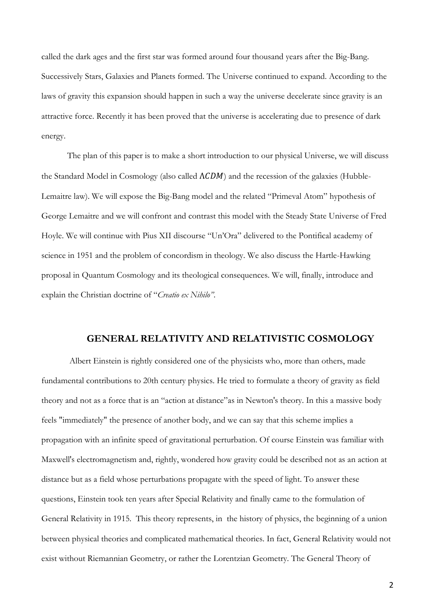called the dark ages and the first star was formed around four thousand years after the Big-Bang. Successively Stars, Galaxies and Planets formed. The Universe continued to expand. According to the laws of gravity this expansion should happen in such a way the universe decelerate since gravity is an attractive force. Recently it has been proved that the universe is accelerating due to presence of dark energy.

The plan of this paper is to make a short introduction to our physical Universe, we will discuss the Standard Model in Cosmology (also called  $\Lambda CDM$ ) and the recession of the galaxies (Hubble-Lemaitre law). We will expose the Big-Bang model and the related "Primeval Atom" hypothesis of George Lemaitre and we will confront and contrast this model with the Steady State Universe of Fred Hoyle. We will continue with Pius XII discourse "Un'Ora" delivered to the Pontifical academy of science in 1951 and the problem of concordism in theology. We also discuss the Hartle-Hawking proposal in Quantum Cosmology and its theological consequences. We will, finally, introduce and explain the Christian doctrine of "*Creatio ex Nihilo"*.

#### **GENERAL RELATIVITY AND RELATIVISTIC COSMOLOGY**

Albert Einstein is rightly considered one of the physicists who, more than others, made fundamental contributions to 20th century physics. He tried to formulate a theory of gravity as field theory and not as a force that is an "action at distance"as in Newton's theory. In this a massive body feels "immediately" the presence of another body, and we can say that this scheme implies a propagation with an infinite speed of gravitational perturbation. Of course Einstein was familiar with Maxwell's electromagnetism and, rightly, wondered how gravity could be described not as an action at distance but as a field whose perturbations propagate with the speed of light. To answer these questions, Einstein took ten years after Special Relativity and finally came to the formulation of General Relativity in 1915. This theory represents, in the history of physics, the beginning of a union between physical theories and complicated mathematical theories. In fact, General Relativity would not exist without Riemannian Geometry, or rather the Lorentzian Geometry. The General Theory of

2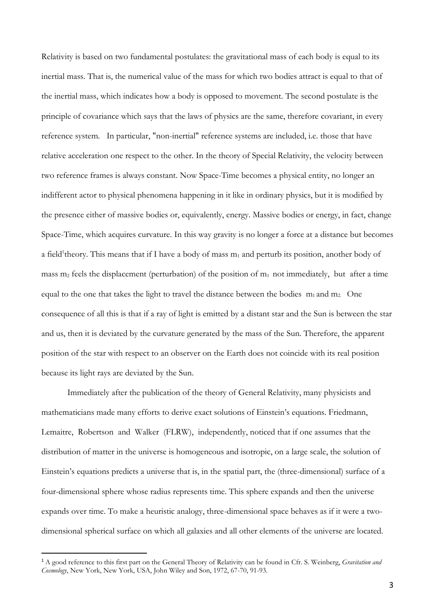Relativity is based on two fundamental postulates: the gravitational mass of each body is equal to its inertial mass. That is, the numerical value of the mass for which two bodies attract is equal to that of the inertial mass, which indicates how a body is opposed to movement. The second postulate is the principle of covariance which says that the laws of physics are the same, therefore covariant, in every reference system. In particular, "non-inertial" reference systems are included, i.e. those that have relative acceleration one respect to the other. In the theory of Special Relativity, the velocity between two reference frames is always constant. Now Space-Time becomes a physical entity, no longer an indifferent actor to physical phenomena happening in it like in ordinary physics, but it is modified by the presence either of massive bodies or, equivalently, energy. Massive bodies or energy, in fact, change Space-Time, which acquires curvature. In this way gravity is no longer a force at a distance but becomes a field<sup>1</sup>theory. This means that if I have a body of mass  $m_1$  and perturb its position, another body of mass  $m_2$  feels the displacement (perturbation) of the position of  $m_1$  not immediately, but after a time equal to the one that takes the light to travel the distance between the bodies  $m_1$  and  $m_2$ . One consequence of all this is that if a ray of light is emitted by a distant star and the Sun is between the star and us, then it is deviated by the curvature generated by the mass of the Sun. Therefore, the apparent position of the star with respect to an observer on the Earth does not coincide with its real position because its light rays are deviated by the Sun.

Immediately after the publication of the theory of General Relativity, many physicists and mathematicians made many efforts to derive exact solutions of Einstein's equations. Friedmann, Lemaitre, Robertson and Walker (FLRW), independently, noticed that if one assumes that the distribution of matter in the universe is homogeneous and isotropic, on a large scale, the solution of Einstein's equations predicts a universe that is, in the spatial part, the (three-dimensional) surface of a four-dimensional sphere whose radius represents time. This sphere expands and then the universe expands over time. To make a heuristic analogy, three-dimensional space behaves as if it were a twodimensional spherical surface on which all galaxies and all other elements of the universe are located.

l

<sup>1</sup> A good reference to this first part on the General Theory of Relativity can be found in Cfr. S. Weinberg, *Gravitation and Cosmology*, New York, New York, USA, John Wiley and Son, 1972, 67-70, 91-93.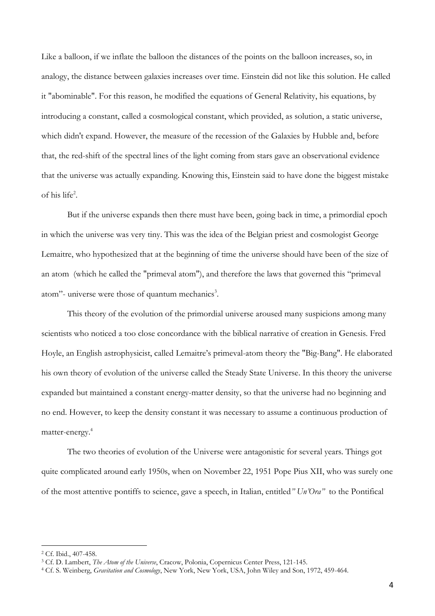Like a balloon, if we inflate the balloon the distances of the points on the balloon increases, so, in analogy, the distance between galaxies increases over time. Einstein did not like this solution. He called it "abominable". For this reason, he modified the equations of General Relativity, his equations, by introducing a constant, called a cosmological constant, which provided, as solution, a static universe, which didn't expand. However, the measure of the recession of the Galaxies by Hubble and, before that, the red-shift of the spectral lines of the light coming from stars gave an observational evidence that the universe was actually expanding. Knowing this, Einstein said to have done the biggest mistake of his life<sup>2</sup> .

But if the universe expands then there must have been, going back in time, a primordial epoch in which the universe was very tiny. This was the idea of the Belgian priest and cosmologist George Lemaitre, who hypothesized that at the beginning of time the universe should have been of the size of an atom (which he called the "primeval atom"), and therefore the laws that governed this "primeval atom"- universe were those of quantum mechanics<sup>3</sup>.

This theory of the evolution of the primordial universe aroused many suspicions among many scientists who noticed a too close concordance with the biblical narrative of creation in Genesis. Fred Hoyle, an English astrophysicist, called Lemaitre's primeval-atom theory the "Big-Bang". He elaborated his own theory of evolution of the universe called the Steady State Universe. In this theory the universe expanded but maintained a constant energy-matter density, so that the universe had no beginning and no end. However, to keep the density constant it was necessary to assume a continuous production of matter-energy.<sup>4</sup>

The two theories of evolution of the Universe were antagonistic for several years. Things got quite complicated around early 1950s, when on November 22, 1951 Pope Pius XII, who was surely one of the most attentive pontiffs to science, gave a speech, in Italian, entitled*" Un'Ora"* to the Pontifical

<sup>2</sup> Cf. Ibid., 407-458.

<sup>3</sup> Cf. D. Lambert, *The Atom of the Universe*, Cracow, Polonia, Copernicus Center Press, 121-145.

<sup>4</sup> Cf. S. Weinberg, *Gravitation and Cosmology*, New York, New York, USA, John Wiley and Son, 1972, 459-464.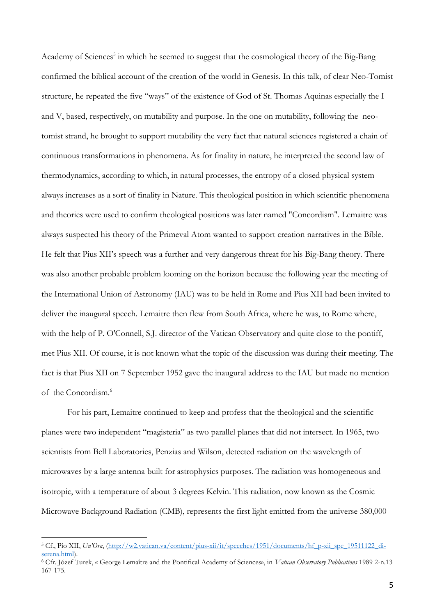Academy of Sciences<sup>5</sup> in which he seemed to suggest that the cosmological theory of the Big-Bang confirmed the biblical account of the creation of the world in Genesis. In this talk, of clear Neo-Tomist structure, he repeated the five "ways" of the existence of God of St. Thomas Aquinas especially the I and V, based, respectively, on mutability and purpose. In the one on mutability, following the neotomist strand, he brought to support mutability the very fact that natural sciences registered a chain of continuous transformations in phenomena. As for finality in nature, he interpreted the second law of thermodynamics, according to which, in natural processes, the entropy of a closed physical system always increases as a sort of finality in Nature. This theological position in which scientific phenomena and theories were used to confirm theological positions was later named "Concordism". Lemaitre was always suspected his theory of the Primeval Atom wanted to support creation narratives in the Bible. He felt that Pius XII's speech was a further and very dangerous threat for his Big-Bang theory. There was also another probable problem looming on the horizon because the following year the meeting of the International Union of Astronomy (IAU) was to be held in Rome and Pius XII had been invited to deliver the inaugural speech. Lemaitre then flew from South Africa, where he was, to Rome where, with the help of P. O'Connell, S.J. director of the Vatican Observatory and quite close to the pontiff, met Pius XII. Of course, it is not known what the topic of the discussion was during their meeting. The fact is that Pius XII on 7 September 1952 gave the inaugural address to the IAU but made no mention of the Concordism. 6

For his part, Lemaitre continued to keep and profess that the theological and the scientific planes were two independent "magisteria" as two parallel planes that did not intersect. In 1965, two scientists from Bell Laboratories, Penzias and Wilson, detected radiation on the wavelength of microwaves by a large antenna built for astrophysics purposes. The radiation was homogeneous and isotropic, with a temperature of about 3 degrees Kelvin. This radiation, now known as the Cosmic Microwave Background Radiation (CMB), represents the first light emitted from the universe 380,000

<sup>5</sup> Cf., Pio XII, *Un'Ora*, [\(http://w2.vatican.va/content/pius-xii/it/speeches/1951/documents/hf\\_p-xii\\_spe\\_19511122\\_di](http://w2.vatican.va/content/pius-xii/it/speeches/1951/documents/hf_p-xii_spe_19511122_di-serena.html)[serena.html\)](http://w2.vatican.va/content/pius-xii/it/speeches/1951/documents/hf_p-xii_spe_19511122_di-serena.html).

<sup>6</sup> Cfr. Józef Turek, « George Lemaître and the Pontifical Academy of Sciences», in *Vatican Observatory Publications* 1989 2-n.13 167-175.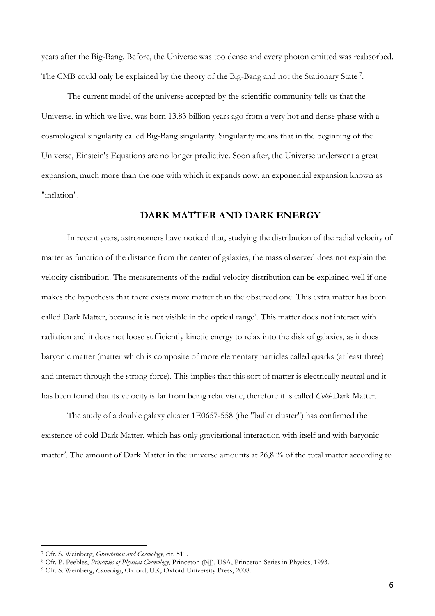years after the Big-Bang. Before, the Universe was too dense and every photon emitted was reabsorbed. The CMB could only be explained by the theory of the Big-Bang and not the Stationary State<sup>7</sup>.

The current model of the universe accepted by the scientific community tells us that the Universe, in which we live, was born 13.83 billion years ago from a very hot and dense phase with a cosmological singularity called Big-Bang singularity. Singularity means that in the beginning of the Universe, Einstein's Equations are no longer predictive. Soon after, the Universe underwent a great expansion, much more than the one with which it expands now, an exponential expansion known as "inflation".

### **DARK MATTER AND DARK ENERGY**

In recent years, astronomers have noticed that, studying the distribution of the radial velocity of matter as function of the distance from the center of galaxies, the mass observed does not explain the velocity distribution. The measurements of the radial velocity distribution can be explained well if one makes the hypothesis that there exists more matter than the observed one. This extra matter has been called Dark Matter, because it is not visible in the optical range<sup>8</sup>. This matter does not interact with radiation and it does not loose sufficiently kinetic energy to relax into the disk of galaxies, as it does baryonic matter (matter which is composite of more elementary particles called quarks (at least three) and interact through the strong force). This implies that this sort of matter is electrically neutral and it has been found that its velocity is far from being relativistic, therefore it is called *Cold*-Dark Matter.

The study of a double galaxy cluster 1E0657-558 (the "bullet cluster") has confirmed the existence of cold Dark Matter, which has only gravitational interaction with itself and with baryonic matter<sup>9</sup>. The amount of Dark Matter in the universe amounts at 26,8 % of the total matter according to

<sup>7</sup> Cfr. S. Weinberg, *Gravitation and Cosmology*, cit. 511.

<sup>8</sup> Cfr. P. Peebles, *Principles of Physical Cosmology*, Princeton (NJ), USA, Princeton Series in Physics, 1993.

<sup>9</sup> Cfr. S. Weinberg, *Cosmology*, Oxford, UK, Oxford University Press, 2008.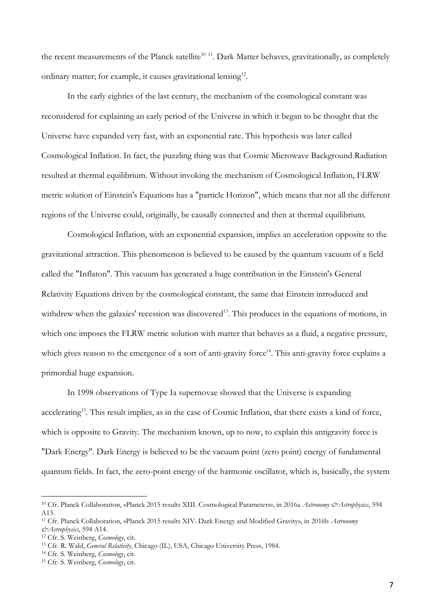the recent measurements of the Planck satellite<sup>10 11</sup>. Dark Matter behaves, gravitationally, as completely ordinary matter; for example, it causes gravitational lensing<sup>12</sup>.

In the early eighties of the last century, the mechanism of the cosmological constant was reconsidered for explaining an early period of the Universe in which it began to be thought that the Universe have expanded very fast, with an exponential rate. This hypothesis was later called Cosmological Inflation. In fact, the puzzling thing was that Cosmic Microwave Background Radiation resulted at thermal equilibrium. Without invoking the mechanism of Cosmological Inflation, FLRW metric solution of Einstein's Equations has a "particle Horizon", which means that not all the different regions of the Universe could, originally, be causally connected and then at thermal equilibrium.

Cosmological Inflation, with an exponential expansion, implies an acceleration opposite to the gravitational attraction. This phenomenon is believed to be caused by the quantum vacuum of a field called the "Inflaton". This vacuum has generated a huge contribution in the Einstein's General Relativity Equations driven by the cosmological constant, the same that Einstein introduced and withdrew when the galaxies' recession was discovered<sup>13</sup>. This produces in the equations of motions, in which one imposes the FLRW metric solution with matter that behaves as a fluid, a negative pressure, which gives reason to the emergence of a sort of anti-gravity force<sup>14</sup>. This anti-gravity force explains a primordial huge expansion.

In 1998 observations of Type Ia supernovae showed that the Universe is expanding accelerating<sup>15</sup>. This result implies, as in the case of Cosmic Inflation, that there exists a kind of force, which is opposite to Gravity. The mechanism known, up to now, to explain this antigravity force is "Dark Energy". Dark Energy is believed to be the vacuum point (zero point) energy of fundamental quantum fields. In fact, the zero-point energy of the harmonic oscillator, which is, basically, the system

<sup>10</sup> Cfr. Planck Collaboration, «Planck 2015 results XIII. Cosmological Parameters», in 2016a *Astronomy &Astrophysics*, 594 A13.

<sup>11</sup> Cfr. Planck Collaboration, «Planck 2015 results XIV. Dark Energy and Modified Gravity», in 2016b *Astronomy &Astrophysics*, 594 A14.

<sup>12</sup> Cfr. S. Weinberg, *Cosmology*, cit.

<sup>13</sup> Cfr. R. Wald, *General Relativity*, Chicago (IL), USA, Chicago University Press, 1984.

<sup>14</sup> Cfr. S. Weinberg, *Cosmology*, cit.

<sup>15</sup> Cfr. S. Weinberg, *Cosmology*, cit.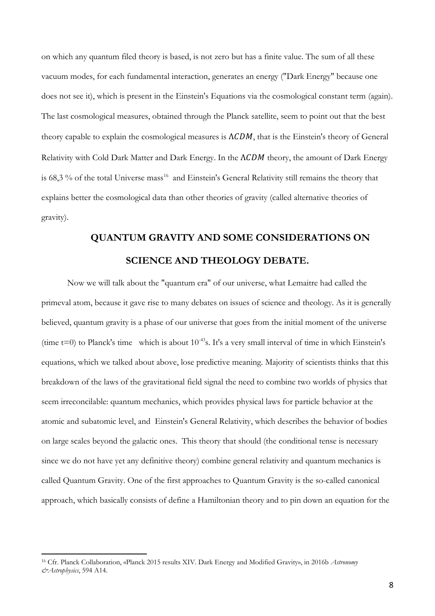on which any quantum filed theory is based, is not zero but has a finite value. The sum of all these vacuum modes, for each fundamental interaction, generates an energy ("Dark Energy" because one does not see it), which is present in the Einstein's Equations via the cosmological constant term (again). The last cosmological measures, obtained through the Planck satellite, seem to point out that the best theory capable to explain the cosmological measures is  $\Lambda CDM$ , that is the Einstein's theory of General Relativity with Cold Dark Matter and Dark Energy. In the  $\Lambda CDM$  theory, the amount of Dark Energy is 68,3 % of the total Universe mass<sup>16</sup> and Einstein's General Relativity still remains the theory that explains better the cosmological data than other theories of gravity (called alternative theories of gravity).

# **QUANTUM GRAVITY AND SOME CONSIDERATIONS ON SCIENCE AND THEOLOGY DEBATE.**

Now we will talk about the "quantum era" of our universe, what Lemaitre had called the primeval atom, because it gave rise to many debates on issues of science and theology. As it is generally believed, quantum gravity is a phase of our universe that goes from the initial moment of the universe (time t=0) to Planck's time which is about  $10^{-43}$ s. It's a very small interval of time in which Einstein's equations, which we talked about above, lose predictive meaning. Majority of scientists thinks that this breakdown of the laws of the gravitational field signal the need to combine two worlds of physics that seem irreconcilable: quantum mechanics, which provides physical laws for particle behavior at the atomic and subatomic level, and Einstein's General Relativity, which describes the behavior of bodies on large scales beyond the galactic ones. This theory that should (the conditional tense is necessary since we do not have yet any definitive theory) combine general relativity and quantum mechanics is called Quantum Gravity. One of the first approaches to Quantum Gravity is the so-called canonical approach, which basically consists of define a Hamiltonian theory and to pin down an equation for the

<sup>16</sup> Cfr. Planck Collaboration, «Planck 2015 results XIV. Dark Energy and Modified Gravity», in 2016b *Astronomy &Astrophysics*, 594 A14.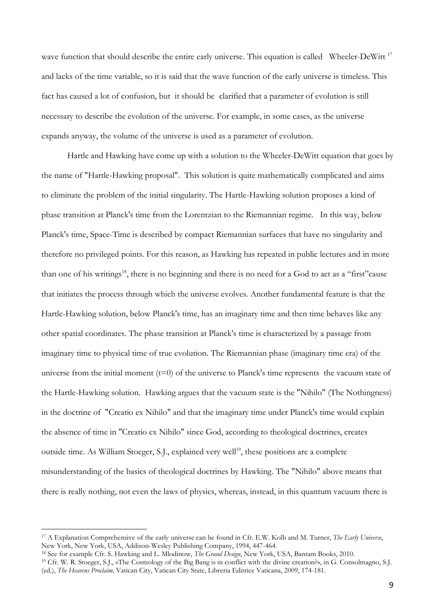wave function that should describe the entire early universe. This equation is called Wheeler-DeWitt<sup>17</sup> and lacks of the time variable, so it is said that the wave function of the early universe is timeless. This fact has caused a lot of confusion, but it should be clarified that a parameter of evolution is still necessary to describe the evolution of the universe. For example, in some cases, as the universe expands anyway, the volume of the universe is used as a parameter of evolution.

Hartle and Hawking have come up with a solution to the Wheeler-DeWitt equation that goes by the name of "Hartle-Hawking proposal". This solution is quite mathematically complicated and aims to eliminate the problem of the initial singularity. The Hartle-Hawking solution proposes a kind of phase transition at Planck's time from the Lorentzian to the Riemannian regime. In this way, below Planck's time, Space-Time is described by compact Riemannian surfaces that have no singularity and therefore no privileged points. For this reason, as Hawking has repeated in public lectures and in more than one of his writings<sup>18</sup>, there is no beginning and there is no need for a God to act as a "first"cause that initiates the process through which the universe evolves. Another fundamental feature is that the Hartle-Hawking solution, below Planck's time, has an imaginary time and then time behaves like any other spatial coordinates. The phase transition at Planck's time is characterized by a passage from imaginary time to physical time of true evolution. The Riemannian phase (imaginary time era) of the universe from the initial moment  $(t=0)$  of the universe to Planck's time represents the vacuum state of the Hartle-Hawking solution. Hawking argues that the vacuum state is the "Nihilo" (The Nothingness) in the doctrine of "Creatio ex Nihilo" and that the imaginary time under Planck's time would explain the absence of time in "Creatio ex Nihilo" since God, according to theological doctrines, creates outside time. As William Stoeger, S.J., explained very well<sup>19</sup>, these positions are a complete misunderstanding of the basics of theological doctrines by Hawking. The "Nihilo" above means that there is really nothing, not even the laws of physics, whereas, instead, in this quantum vacuum there is

<sup>17</sup> A Explanation Comprehensive of the early universe can be found in Cfr. E.W. Kolb and M. Turner, *The Early Universe*, New York, New York, USA, Addison-Wesley Publishing Company, 1994, 447-464.

<sup>18</sup> See for example Cfr. S. Hawking and L. Mlodinow, *The Grand Design*, New York, USA, Bantam Books, 2010.

<sup>19</sup> Cfr. W. R. Stoeger, S.J., «The Cosmology of the Big Bang is in conflict with the divine creation?», in G. Consolmagno, S.J. (ed.), *The Heavens Proclaim,* Vatican City, Vatican City State, Libreria Editrice Vaticana, 2009, 174-181.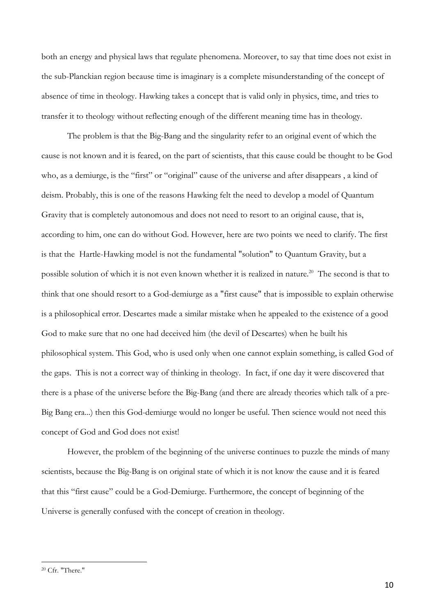both an energy and physical laws that regulate phenomena. Moreover, to say that time does not exist in the sub-Planckian region because time is imaginary is a complete misunderstanding of the concept of absence of time in theology. Hawking takes a concept that is valid only in physics, time, and tries to transfer it to theology without reflecting enough of the different meaning time has in theology.

The problem is that the Big-Bang and the singularity refer to an original event of which the cause is not known and it is feared, on the part of scientists, that this cause could be thought to be God who, as a demiurge, is the "first" or "original" cause of the universe and after disappears , a kind of deism. Probably, this is one of the reasons Hawking felt the need to develop a model of Quantum Gravity that is completely autonomous and does not need to resort to an original cause, that is, according to him, one can do without God. However, here are two points we need to clarify. The first is that the Hartle-Hawking model is not the fundamental "solution" to Quantum Gravity, but a possible solution of which it is not even known whether it is realized in nature.<sup>20</sup> The second is that to think that one should resort to a God-demiurge as a "first cause" that is impossible to explain otherwise is a philosophical error. Descartes made a similar mistake when he appealed to the existence of a good God to make sure that no one had deceived him (the devil of Descartes) when he built his philosophical system. This God, who is used only when one cannot explain something, is called God of the gaps. This is not a correct way of thinking in theology. In fact, if one day it were discovered that there is a phase of the universe before the Big-Bang (and there are already theories which talk of a pre-Big Bang era...) then this God-demiurge would no longer be useful. Then science would not need this concept of God and God does not exist!

However, the problem of the beginning of the universe continues to puzzle the minds of many scientists, because the Big-Bang is on original state of which it is not know the cause and it is feared that this "first cause" could be a God-Demiurge. Furthermore, the concept of beginning of the Universe is generally confused with the concept of creation in theology.

<sup>20</sup> Cfr. "There."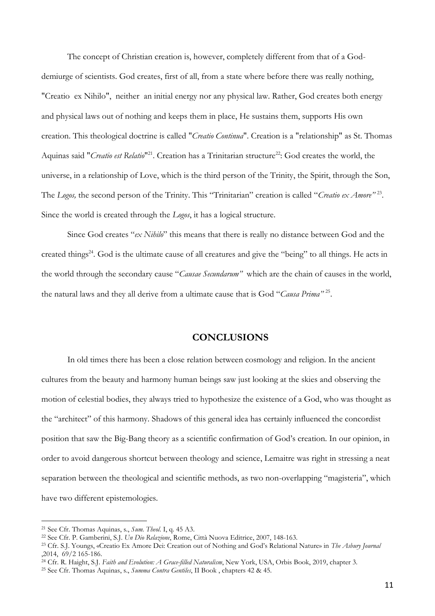The concept of Christian creation is, however, completely different from that of a Goddemiurge of scientists. God creates, first of all, from a state where before there was really nothing, "Creatio ex Nihilo", neither an initial energy nor any physical law. Rather, God creates both energy and physical laws out of nothing and keeps them in place, He sustains them, supports His own creation. This theological doctrine is called "*Creatio Continua*". Creation is a "relationship" as St. Thomas Aquinas said "*Creatio est Relatio*"<sup>21</sup>. Creation has a Trinitarian structure<sup>22</sup>: God creates the world, the universe, in a relationship of Love, which is the third person of the Trinity, the Spirit, through the Son, The *Logos,* the second person of the Trinity. This "Trinitarian" creation is called "*Creatio ex Amore"* <sup>23</sup> . Since the world is created through the *Logos*, it has a logical structure.

Since God creates "*ex Nihilo*" this means that there is really no distance between God and the created things<sup>24</sup>. God is the ultimate cause of all creatures and give the "being" to all things. He acts in the world through the secondary cause "*Causae Secundarum"* which are the chain of causes in the world, the natural laws and they all derive from a ultimate cause that is God "*Causa Prima"* <sup>25</sup> .

## **CONCLUSIONS**

In old times there has been a close relation between cosmology and religion. In the ancient cultures from the beauty and harmony human beings saw just looking at the skies and observing the motion of celestial bodies, they always tried to hypothesize the existence of a God, who was thought as the "architect" of this harmony. Shadows of this general idea has certainly influenced the concordist position that saw the Big-Bang theory as a scientific confirmation of God's creation. In our opinion, in order to avoid dangerous shortcut between theology and science, Lemaitre was right in stressing a neat separation between the theological and scientific methods, as two non-overlapping "magisteria", which have two different epistemologies.

<sup>21</sup> See Cfr. Thomas Aquinas, s., *Sum. Theol*. I, q. 45 A3.

<sup>22</sup> See Cfr. P. Gamberini, S.J. *Un Dio Relazione*, Rome, Città Nuova Editrice, 2007, 148-163.

<sup>23</sup> Cfr. S.J. Youngs, «Creatio Ex Amore Dei: Creation out of Nothing and God's Relational Nature» in *The Asbury Journal* ,2014, 69/2 165-186.

<sup>24</sup> Cfr. R. Haight, S.J. *Faith and Evolution: A Grace-filled Naturalism*, New York, USA, Orbis Book, 2019, chapter 3.

<sup>25</sup> See Cfr. Thomas Aquinas, s., *Summa Contra Gentiles*, II Book , chapters 42 & 45.